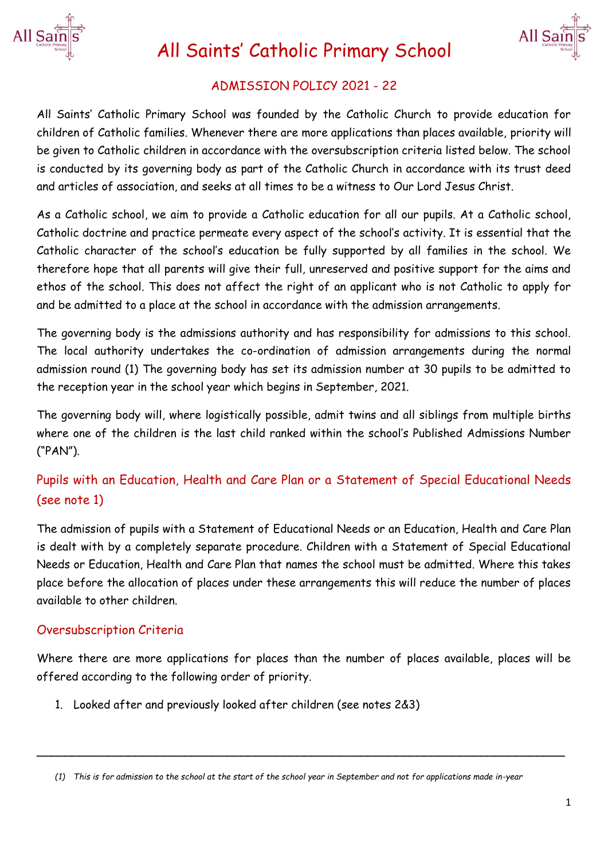

# All Saints' Catholic Primary School



# ADMISSION POLICY 2021 - 22

All Saints' Catholic Primary School was founded by the Catholic Church to provide education for children of Catholic families. Whenever there are more applications than places available, priority will be given to Catholic children in accordance with the oversubscription criteria listed below. The school is conducted by its governing body as part of the Catholic Church in accordance with its trust deed and articles of association, and seeks at all times to be a witness to Our Lord Jesus Christ.

As a Catholic school, we aim to provide a Catholic education for all our pupils. At a Catholic school, Catholic doctrine and practice permeate every aspect of the school's activity. It is essential that the Catholic character of the school's education be fully supported by all families in the school. We therefore hope that all parents will give their full, unreserved and positive support for the aims and ethos of the school. This does not affect the right of an applicant who is not Catholic to apply for and be admitted to a place at the school in accordance with the admission arrangements.

The governing body is the admissions authority and has responsibility for admissions to this school. The local authority undertakes the co-ordination of admission arrangements during the normal admission round (1) The governing body has set its admission number at 30 pupils to be admitted to the reception year in the school year which begins in September, 2021.

The governing body will, where logistically possible, admit twins and all siblings from multiple births where one of the children is the last child ranked within the school's Published Admissions Number ("PAN").

# Pupils with an Education, Health and Care Plan or a Statement of Special Educational Needs (see note 1)

The admission of pupils with a Statement of Educational Needs or an Education, Health and Care Plan is dealt with by a completely separate procedure. Children with a Statement of Special Educational Needs or Education, Health and Care Plan that names the school must be admitted. Where this takes place before the allocation of places under these arrangements this will reduce the number of places available to other children.

# Oversubscription Criteria

Where there are more applications for places than the number of places available, places will be offered according to the following order of priority.

1. Looked after and previously looked after children (see notes 2&3)

\_\_\_\_\_\_\_\_\_\_\_\_\_\_\_\_\_\_\_\_\_\_\_\_\_\_\_\_\_\_\_\_\_\_\_\_\_\_\_\_\_\_\_\_\_\_\_\_\_\_\_\_\_\_\_\_\_\_\_\_\_\_\_\_\_\_\_\_\_\_\_\_\_\_\_

*<sup>(1)</sup> This is for admission to the school at the start of the school year in September and not for applications made in-year*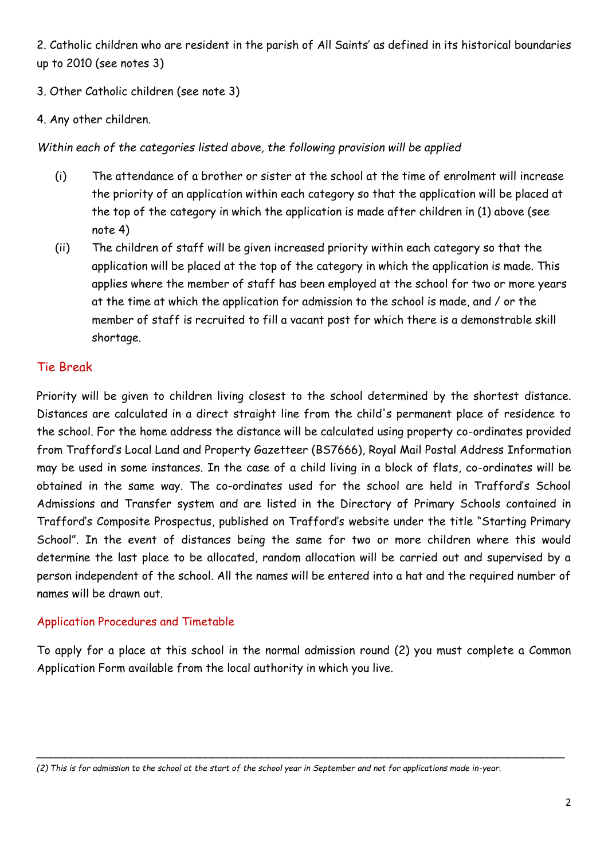2. Catholic children who are resident in the parish of All Saints' as defined in its historical boundaries up to 2010 (see notes 3)

- 3. Other Catholic children (see note 3)
- 4. Any other children.

#### *Within each of the categories listed above, the following provision will be applied*

- (i) The attendance of a brother or sister at the school at the time of enrolment will increase the priority of an application within each category so that the application will be placed at the top of the category in which the application is made after children in (1) above (see note 4)
- (ii) The children of staff will be given increased priority within each category so that the application will be placed at the top of the category in which the application is made. This applies where the member of staff has been employed at the school for two or more years at the time at which the application for admission to the school is made, and / or the member of staff is recruited to fill a vacant post for which there is a demonstrable skill shortage.

# Tie Break

Priority will be given to children living closest to the school determined by the shortest distance. Distances are calculated in a direct straight line from the child's permanent place of residence to the school. For the home address the distance will be calculated using property co-ordinates provided from Trafford's Local Land and Property Gazetteer (BS7666), Royal Mail Postal Address Information may be used in some instances. In the case of a child living in a block of flats, co-ordinates will be obtained in the same way. The co-ordinates used for the school are held in Trafford's School Admissions and Transfer system and are listed in the Directory of Primary Schools contained in Trafford's Composite Prospectus, published on Trafford's website under the title "Starting Primary School". In the event of distances being the same for two or more children where this would determine the last place to be allocated, random allocation will be carried out and supervised by a person independent of the school. All the names will be entered into a hat and the required number of names will be drawn out.

#### Application Procedures and Timetable

To apply for a place at this school in the normal admission round (2) you must complete a Common Application Form available from the local authority in which you live.

*\_\_\_\_\_\_\_\_\_\_\_\_\_\_\_\_\_\_\_\_\_\_\_\_\_\_\_\_\_\_\_\_\_\_\_\_\_\_\_\_\_\_\_\_\_\_\_\_\_\_\_\_\_\_\_\_\_\_\_\_\_\_\_\_\_\_\_\_\_\_\_\_\_\_\_*

*<sup>(2)</sup> This is for admission to the school at the start of the school year in September and not for applications made in-year.*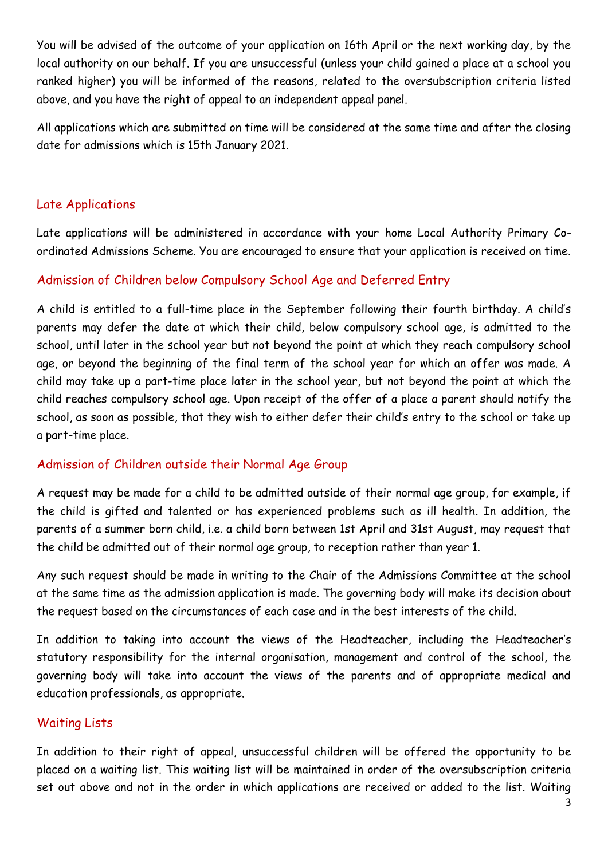You will be advised of the outcome of your application on 16th April or the next working day, by the local authority on our behalf. If you are unsuccessful (unless your child gained a place at a school you ranked higher) you will be informed of the reasons, related to the oversubscription criteria listed above, and you have the right of appeal to an independent appeal panel.

All applications which are submitted on time will be considered at the same time and after the closing date for admissions which is 15th January 2021.

### Late Applications

Late applications will be administered in accordance with your home Local Authority Primary Coordinated Admissions Scheme. You are encouraged to ensure that your application is received on time.

#### Admission of Children below Compulsory School Age and Deferred Entry

A child is entitled to a full-time place in the September following their fourth birthday. A child's parents may defer the date at which their child, below compulsory school age, is admitted to the school, until later in the school year but not beyond the point at which they reach compulsory school age, or beyond the beginning of the final term of the school year for which an offer was made. A child may take up a part-time place later in the school year, but not beyond the point at which the child reaches compulsory school age. Upon receipt of the offer of a place a parent should notify the school, as soon as possible, that they wish to either defer their child's entry to the school or take up a part-time place.

#### Admission of Children outside their Normal Age Group

A request may be made for a child to be admitted outside of their normal age group, for example, if the child is gifted and talented or has experienced problems such as ill health. In addition, the parents of a summer born child, i.e. a child born between 1st April and 31st August, may request that the child be admitted out of their normal age group, to reception rather than year 1.

Any such request should be made in writing to the Chair of the Admissions Committee at the school at the same time as the admission application is made. The governing body will make its decision about the request based on the circumstances of each case and in the best interests of the child.

In addition to taking into account the views of the Headteacher, including the Headteacher's statutory responsibility for the internal organisation, management and control of the school, the governing body will take into account the views of the parents and of appropriate medical and education professionals, as appropriate.

#### Waiting Lists

In addition to their right of appeal, unsuccessful children will be offered the opportunity to be placed on a waiting list. This waiting list will be maintained in order of the oversubscription criteria set out above and not in the order in which applications are received or added to the list. Waiting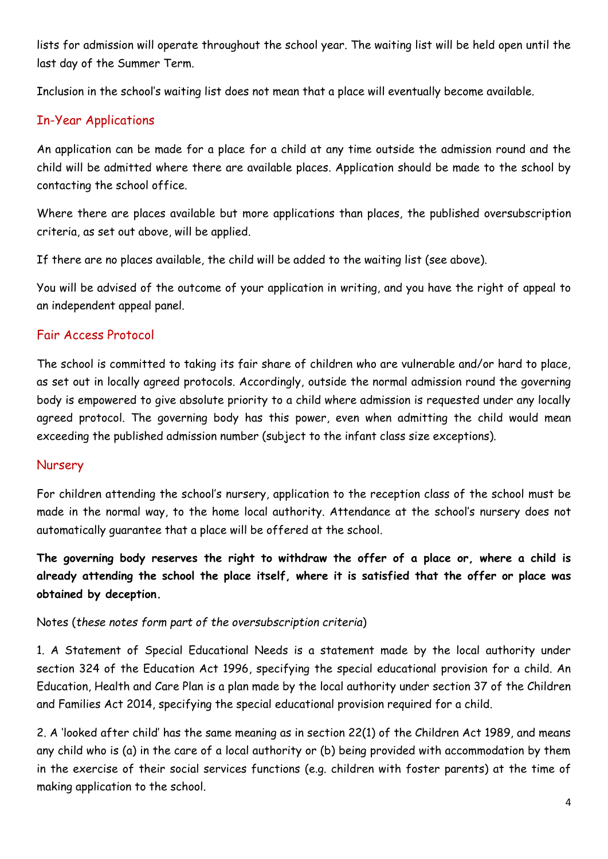lists for admission will operate throughout the school year. The waiting list will be held open until the last day of the Summer Term.

Inclusion in the school's waiting list does not mean that a place will eventually become available.

# In-Year Applications

An application can be made for a place for a child at any time outside the admission round and the child will be admitted where there are available places. Application should be made to the school by contacting the school office.

Where there are places available but more applications than places, the published oversubscription criteria, as set out above, will be applied.

If there are no places available, the child will be added to the waiting list (see above).

You will be advised of the outcome of your application in writing, and you have the right of appeal to an independent appeal panel.

# Fair Access Protocol

The school is committed to taking its fair share of children who are vulnerable and/or hard to place, as set out in locally agreed protocols. Accordingly, outside the normal admission round the governing body is empowered to give absolute priority to a child where admission is requested under any locally agreed protocol. The governing body has this power, even when admitting the child would mean exceeding the published admission number (subject to the infant class size exceptions).

# Nursery

For children attending the school's nursery, application to the reception class of the school must be made in the normal way, to the home local authority. Attendance at the school's nursery does not automatically guarantee that a place will be offered at the school.

**The governing body reserves the right to withdraw the offer of a place or, where a child is already attending the school the place itself, where it is satisfied that the offer or place was obtained by deception.**

#### Notes (*these notes form part of the oversubscription criteria*)

1. A Statement of Special Educational Needs is a statement made by the local authority under section 324 of the Education Act 1996, specifying the special educational provision for a child. An Education, Health and Care Plan is a plan made by the local authority under section 37 of the Children and Families Act 2014, specifying the special educational provision required for a child.

2. A 'looked after child' has the same meaning as in section 22(1) of the Children Act 1989, and means any child who is (a) in the care of a local authority or (b) being provided with accommodation by them in the exercise of their social services functions (e.g. children with foster parents) at the time of making application to the school.